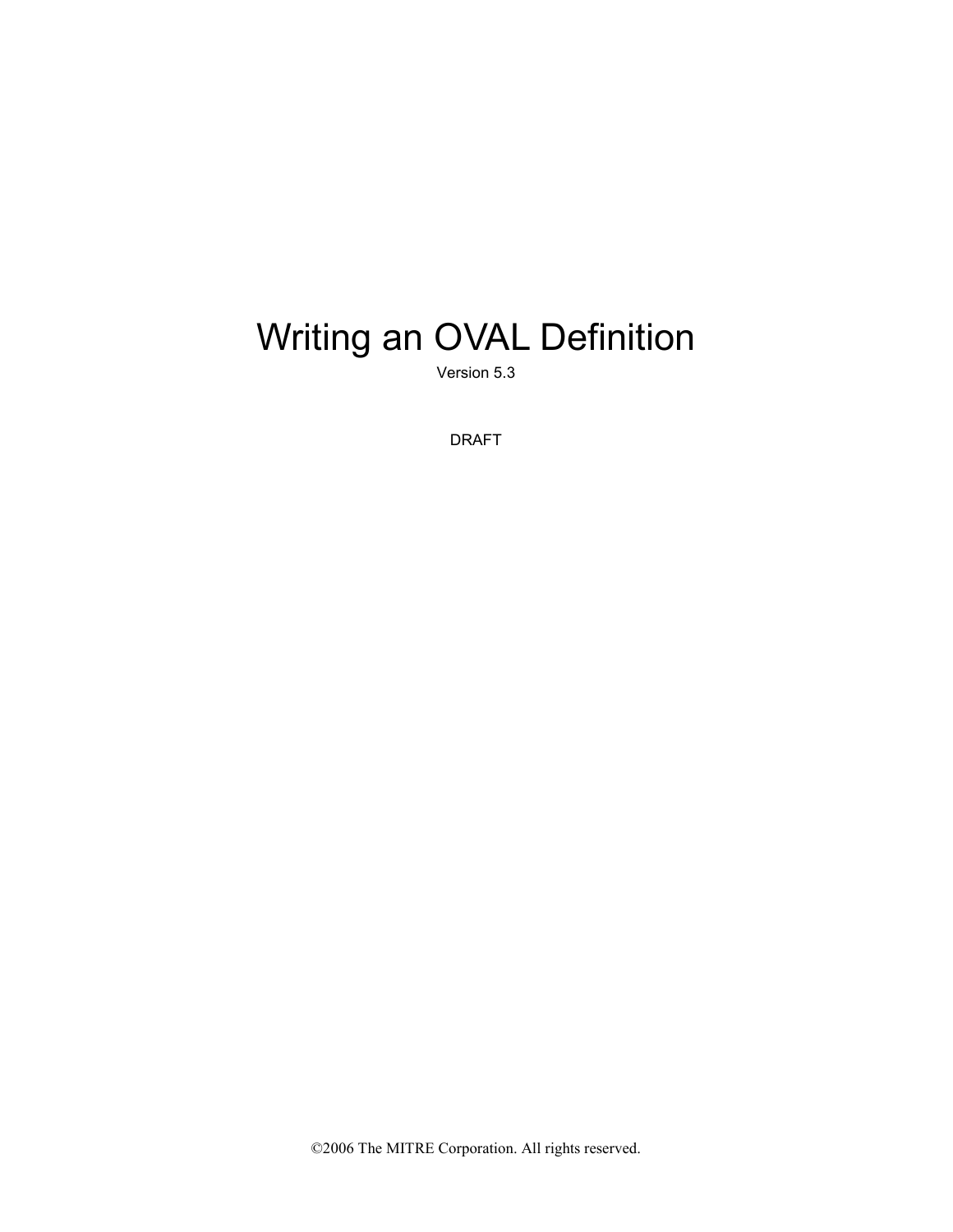# Writing an OVAL Definition

Version 5.3

DRAFT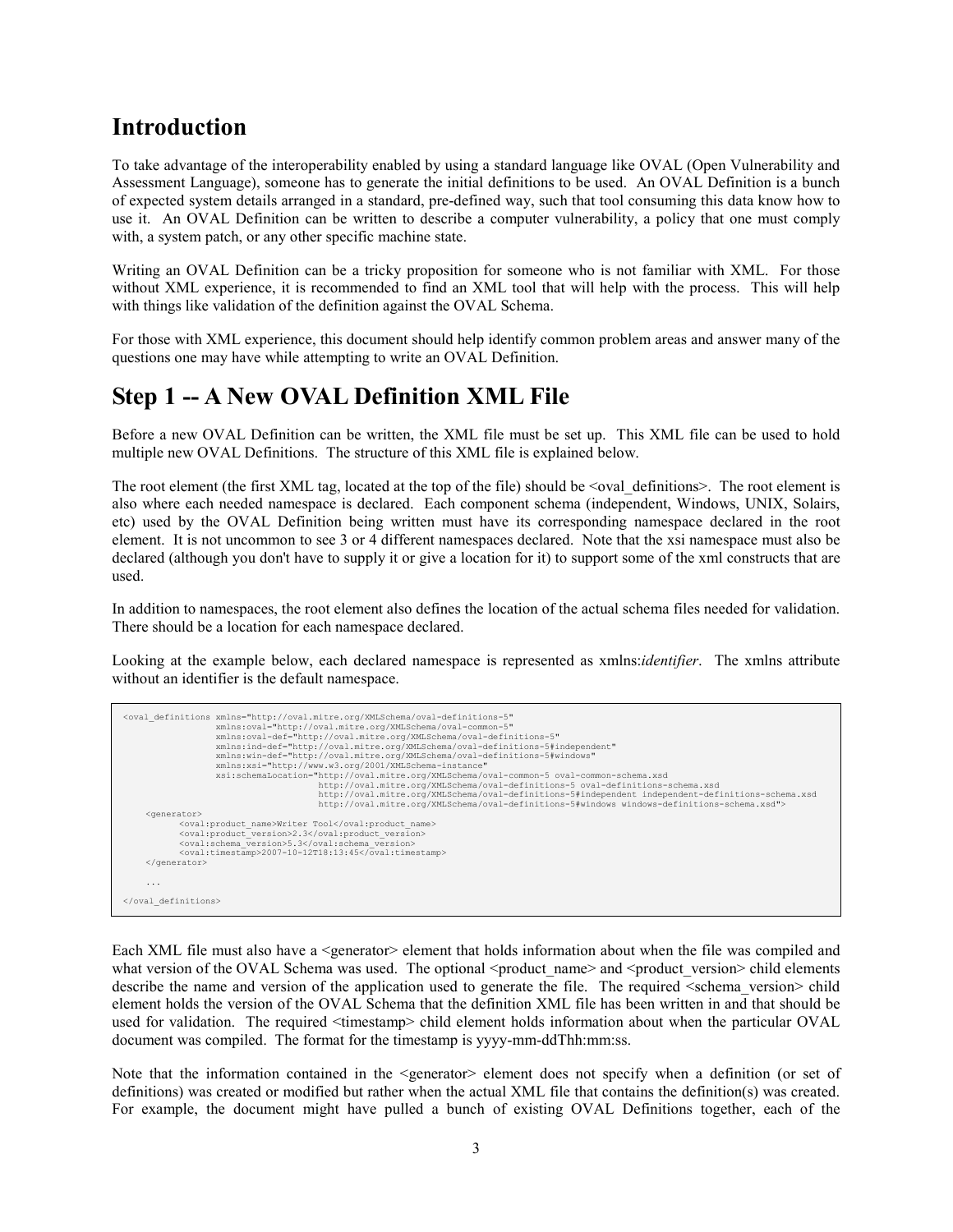# Introduction

To take advantage of the interoperability enabled by using a standard language like OVAL (Open Vulnerability and Assessment Language), someone has to generate the initial definitions to be used. An OVAL Definition is a bunch of expected system details arranged in a standard, pre-defined way, such that tool consuming this data know how to use it. An OVAL Definition can be written to describe a computer vulnerability, a policy that one must comply with, a system patch, or any other specific machine state.

Writing an OVAL Definition can be a tricky proposition for someone who is not familiar with XML. For those without XML experience, it is recommended to find an XML tool that will help with the process. This will help with things like validation of the definition against the OVAL Schema.

For those with XML experience, this document should help identify common problem areas and answer many of the questions one may have while attempting to write an OVAL Definition.

# Step 1 -- A New OVAL Definition XML File

Before a new OVAL Definition can be written, the XML file must be set up. This XML file can be used to hold multiple new OVAL Definitions. The structure of this XML file is explained below.

The root element (the first XML tag, located at the top of the file) should be  $\leq$  oval definitions $\geq$ . The root element is also where each needed namespace is declared. Each component schema (independent, Windows, UNIX, Solairs, etc) used by the OVAL Definition being written must have its corresponding namespace declared in the root element. It is not uncommon to see 3 or 4 different namespaces declared. Note that the xsi namespace must also be declared (although you don't have to supply it or give a location for it) to support some of the xml constructs that are used.

In addition to namespaces, the root element also defines the location of the actual schema files needed for validation. There should be a location for each namespace declared.

Looking at the example below, each declared namespace is represented as xmlns:*identifier*. The xmlns attribute without an identifier is the default namespace.

```
<oval_definitions xmlns="http://oval.mitre.org/XMLSchema/oval-definitions-5" 
 xmlns:oval="http://oval.mitre.org/XMLSchema/oval-common-5" 
                           xmlns:oval-def="http://oval.mitre.org/XMLSchema/oval-definitions-5" 
 xmlns:ind-def="http://oval.mitre.org/XMLSchema/oval-definitions-5#independent" 
 xmlns:win-def="http://oval.mitre.org/XMLSchema/oval-definitions-5#windows" 
xmlns:xsi="http://www.w3.org/2001/XMLSchema-instance"<br>xsi:schemaLocation="http://oval.mitre.org/XMLSchema/oval-common-5 oval-common-schema.xsd<br>http://oval.mitre.org/XMLSchema/oval-definitions-5 oval-definitions-5 oval-defi
 http://oval.mitre.org/XMLSchema/oval-definitions-5#independent independent-definitions-schema.xsd 
 http://oval.mitre.org/XMLSchema/oval-definitions-5#windows windows-definitions-schema.xsd"> 
       <generator> 
                <oval:product_name>Writer Tool</oval:product_name> 
                 <oval:product_version>2.3</oval:product_version> 
                <oval:schema_version>5.3</oval:schema_version>
                \langle \texttt{oval:timestamp>2007-10-12T18:13:45}\rangle/\texttt{oval:timestamp>2007-10-12T18:13:45} </generator> 
 ... 
</oval_definitions>
```
Each XML file must also have a <generator> element that holds information about when the file was compiled and what version of the OVAL Schema was used. The optional <product\_name> and <product\_version> child elements describe the name and version of the application used to generate the file. The required <schema version> child element holds the version of the OVAL Schema that the definition XML file has been written in and that should be used for validation. The required <timestamp> child element holds information about when the particular OVAL document was compiled. The format for the timestamp is yyyy-mm-ddThh:mm:ss.

Note that the information contained in the <generator> element does not specify when a definition (or set of definitions) was created or modified but rather when the actual XML file that contains the definition(s) was created. For example, the document might have pulled a bunch of existing OVAL Definitions together, each of the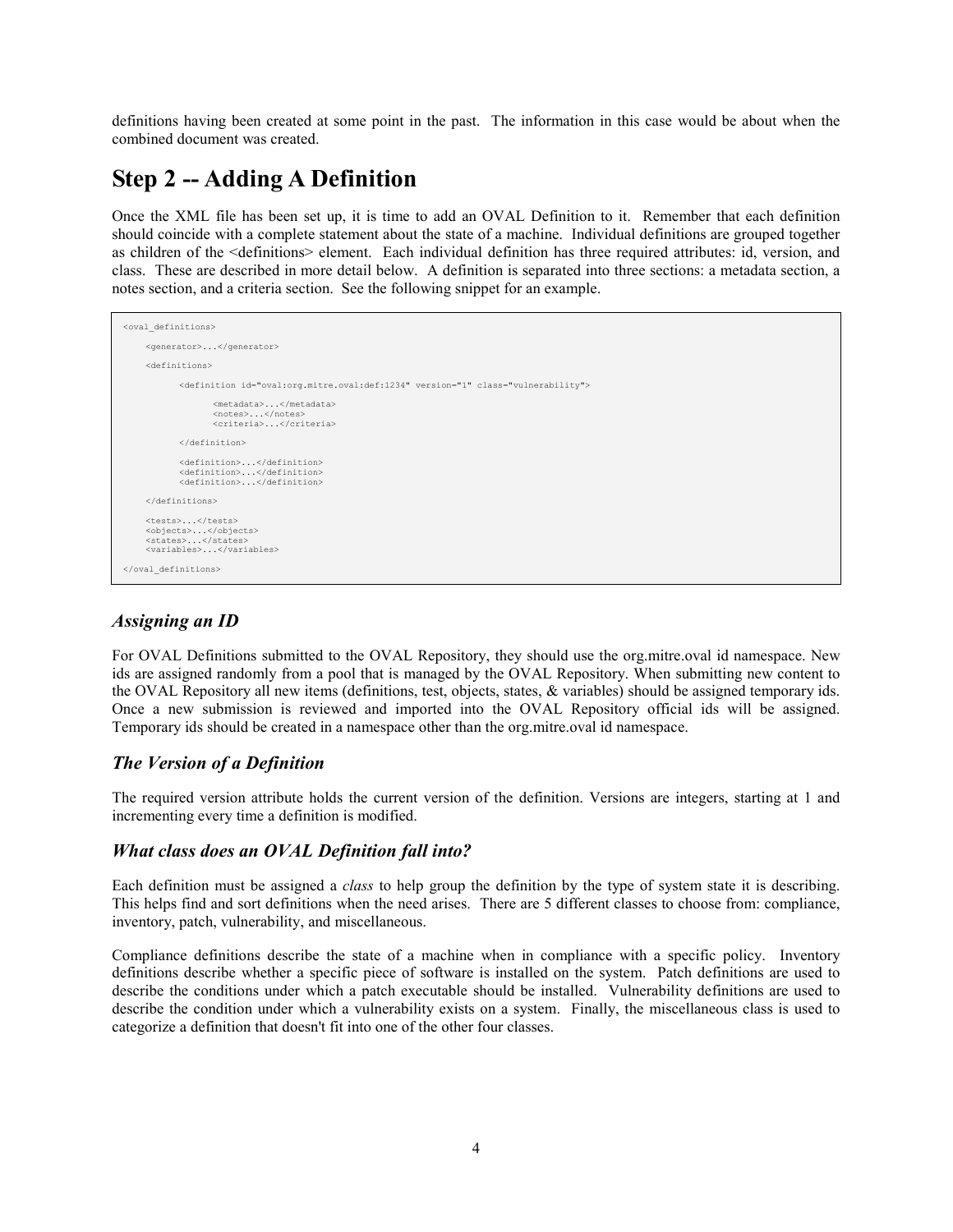definitions having been created at some point in the past. The information in this case would be about when the combined document was created.

# Step 2 -- Adding A Definition

Once the XML file has been set up, it is time to add an OVAL Definition to it. Remember that each definition should coincide with a complete statement about the state of a machine. Individual definitions are grouped together as children of the <definitions> element. Each individual definition has three required attributes: id, version, and class. These are described in more detail below. A definition is separated into three sections: a metadata section, a notes section, and a criteria section. See the following snippet for an example.

```
<oval_definitions> 
      <generator>...</generator> 
      <definitions> 
             <definition id="oval:org.mitre.oval:def:1234" version="1" class="vulnerability"> 
                     <metadata>...</metadata> 
 <notes>...</notes> 
 <criteria>...</criteria> 
             </definition> 
 <definition>...</definition> 
 <definition>...</definition> 
             <definition>...</definition> 
      </definitions> 
     <tests>...</tests>
 <objects>...</objects> 
 <states>...</states> 
      <variables>...</variables> 
</oval_definitions>
```
#### Assigning an ID

For OVAL Definitions submitted to the OVAL Repository, they should use the org.mitre.oval id namespace. New ids are assigned randomly from a pool that is managed by the OVAL Repository. When submitting new content to the OVAL Repository all new items (definitions, test, objects, states, & variables) should be assigned temporary ids. Once a new submission is reviewed and imported into the OVAL Repository official ids will be assigned. Temporary ids should be created in a namespace other than the org.mitre.oval id namespace.

#### The Version of a Definition

The required version attribute holds the current version of the definition. Versions are integers, starting at 1 and incrementing every time a definition is modified.

#### What class does an OVAL Definition fall into?

Each definition must be assigned a class to help group the definition by the type of system state it is describing. This helps find and sort definitions when the need arises. There are 5 different classes to choose from: compliance, inventory, patch, vulnerability, and miscellaneous.

Compliance definitions describe the state of a machine when in compliance with a specific policy. Inventory definitions describe whether a specific piece of software is installed on the system. Patch definitions are used to describe the conditions under which a patch executable should be installed. Vulnerability definitions are used to describe the condition under which a vulnerability exists on a system. Finally, the miscellaneous class is used to categorize a definition that doesn't fit into one of the other four classes.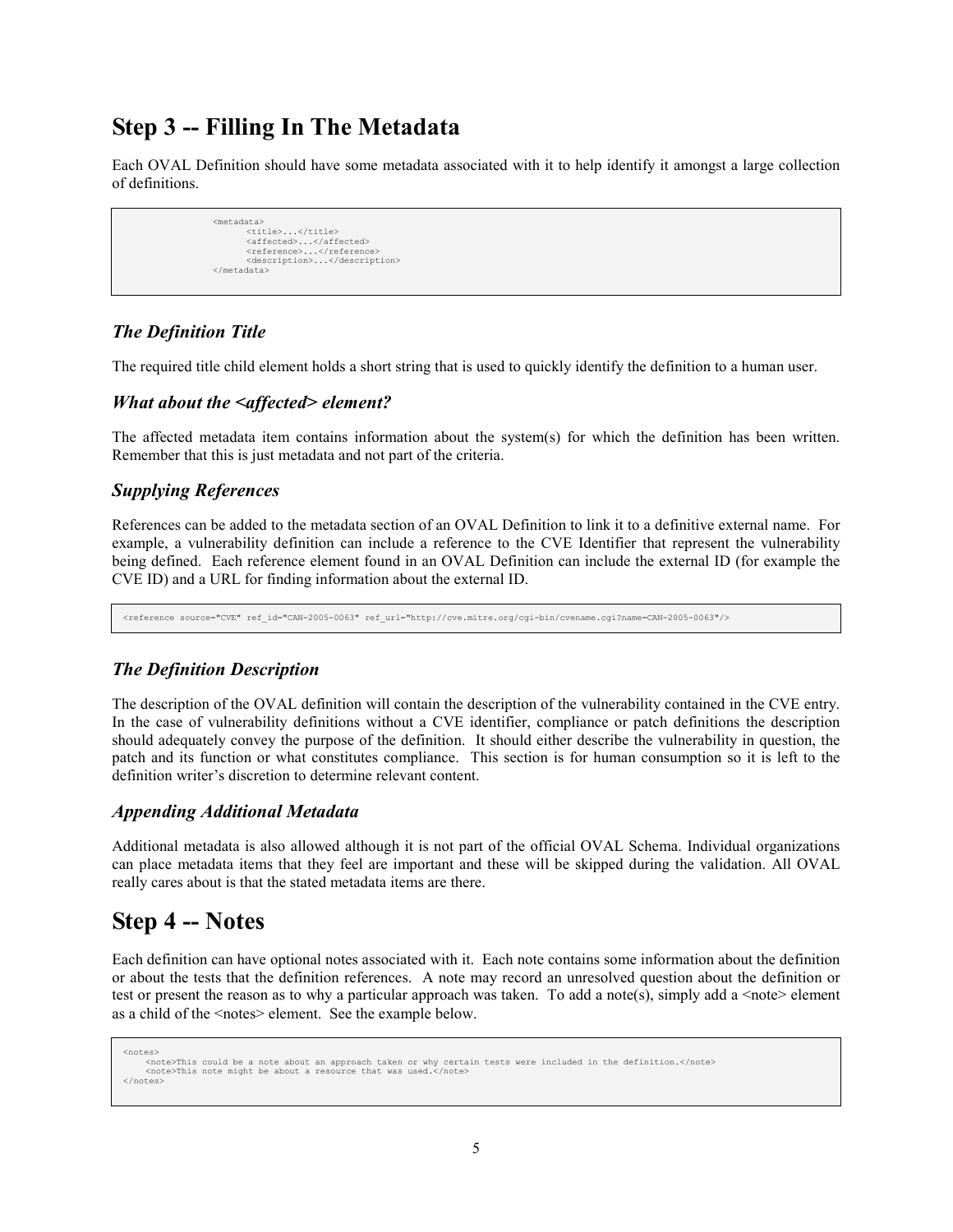# Step 3 -- Filling In The Metadata

Each OVAL Definition should have some metadata associated with it to help identify it amongst a large collection of definitions.

```
 <metadata> 
                                   <title>...</title> 
<affected>...</affected><br><reference>...</reference><br><description>...</description>
                         </metadata>
```
#### The Definition Title

The required title child element holds a short string that is used to quickly identify the definition to a human user.

#### What about the <affected> element?

The affected metadata item contains information about the system(s) for which the definition has been written. Remember that this is just metadata and not part of the criteria.

#### Supplying References

References can be added to the metadata section of an OVAL Definition to link it to a definitive external name. For example, a vulnerability definition can include a reference to the CVE Identifier that represent the vulnerability being defined. Each reference element found in an OVAL Definition can include the external ID (for example the CVE ID) and a URL for finding information about the external ID.

<reference source="CVE" ref\_id="CAN-2005-0063" ref\_url="http://cve.mitre.org/cgi-bin/cvename.cgi?name=CAN-2005-0063"/>

#### The Definition Description

The description of the OVAL definition will contain the description of the vulnerability contained in the CVE entry. In the case of vulnerability definitions without a CVE identifier, compliance or patch definitions the description should adequately convey the purpose of the definition. It should either describe the vulnerability in question, the patch and its function or what constitutes compliance. This section is for human consumption so it is left to the definition writer's discretion to determine relevant content.

#### Appending Additional Metadata

Additional metadata is also allowed although it is not part of the official OVAL Schema. Individual organizations can place metadata items that they feel are important and these will be skipped during the validation. All OVAL really cares about is that the stated metadata items are there.

### Step 4 -- Notes

Each definition can have optional notes associated with it. Each note contains some information about the definition or about the tests that the definition references. A note may record an unresolved question about the definition or test or present the reason as to why a particular approach was taken. To add a note(s), simply add a  $\leq$ note> element as a child of the <notes> element. See the example below.

```
<notes> 
 <note>This could be a note about an approach taken or why certain tests were included in the definition.</note> 
     <note>This note might be about a resource that was used.</note> 
</notes>
```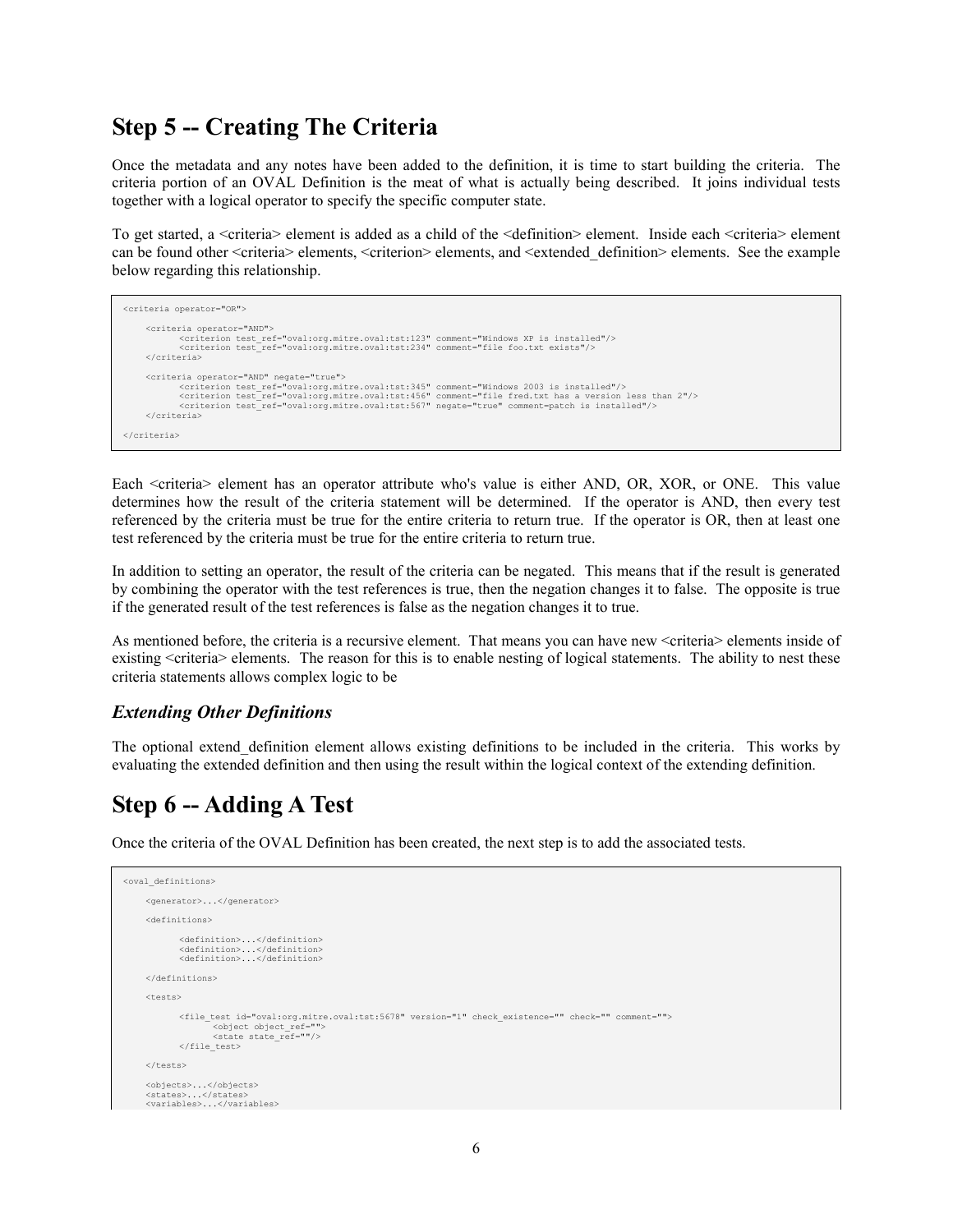### Step 5 -- Creating The Criteria

Once the metadata and any notes have been added to the definition, it is time to start building the criteria. The criteria portion of an OVAL Definition is the meat of what is actually being described. It joins individual tests together with a logical operator to specify the specific computer state.

To get started, a <criteria> element is added as a child of the <definition> element. Inside each <criteria> element can be found other <criteria> elements, <criterion> elements, and <extended\_definition> elements. See the example below regarding this relationship.

```
<criteria operator="OR"> 
        <criteria operator="AND"> 
 <criterion test_ref="oval:org.mitre.oval:tst:123" comment="Windows XP is installed"/> 
 <criterion test_ref="oval:org.mitre.oval:tst:234" comment="file foo.txt exists"/> 
       </criteria> 
       <criteria operator="AND" negate="true"> 
<criterion test_ref="oval:org.mitre.oval:tst:345" comment="Windows 2003 is installed"/><br><criterion test_ref="oval:org.mitre.oval:tst:456" comment="file fred.txt has a version less than 2"/><br><criterion test_ref="oval:org.mi
       </criteria> 
</criteria>
```
Each <criteria> element has an operator attribute who's value is either AND, OR, XOR, or ONE. This value determines how the result of the criteria statement will be determined. If the operator is AND, then every test referenced by the criteria must be true for the entire criteria to return true. If the operator is OR, then at least one test referenced by the criteria must be true for the entire criteria to return true.

In addition to setting an operator, the result of the criteria can be negated. This means that if the result is generated by combining the operator with the test references is true, then the negation changes it to false. The opposite is true if the generated result of the test references is false as the negation changes it to true.

As mentioned before, the criteria is a recursive element. That means you can have new <criteria> elements inside of existing <criteria> elements. The reason for this is to enable nesting of logical statements. The ability to nest these criteria statements allows complex logic to be

#### Extending Other Definitions

The optional extend\_definition element allows existing definitions to be included in the criteria. This works by evaluating the extended definition and then using the result within the logical context of the extending definition.

### Step 6 -- Adding A Test

Once the criteria of the OVAL Definition has been created, the next step is to add the associated tests.

```
<oval_definitions> 
      <generator>...</generator> 
      <definitions> 
              <definition>...</definition> 
 <definition>...</definition> 
 <definition>...</definition> 
      </definitions> 
    \left\langle \text{frac}{} \right\rangle <file_test id="oval:org.mitre.oval:tst:5678" version="1" check_existence="" check="" comment=""> 
                      <object object_ref=""> 
                     <state_state_ref=""/>
              </file_test> 
     </tests> 
      <objects>...</objects> 
 <states>...</states> 
 <variables>...</variables>
```